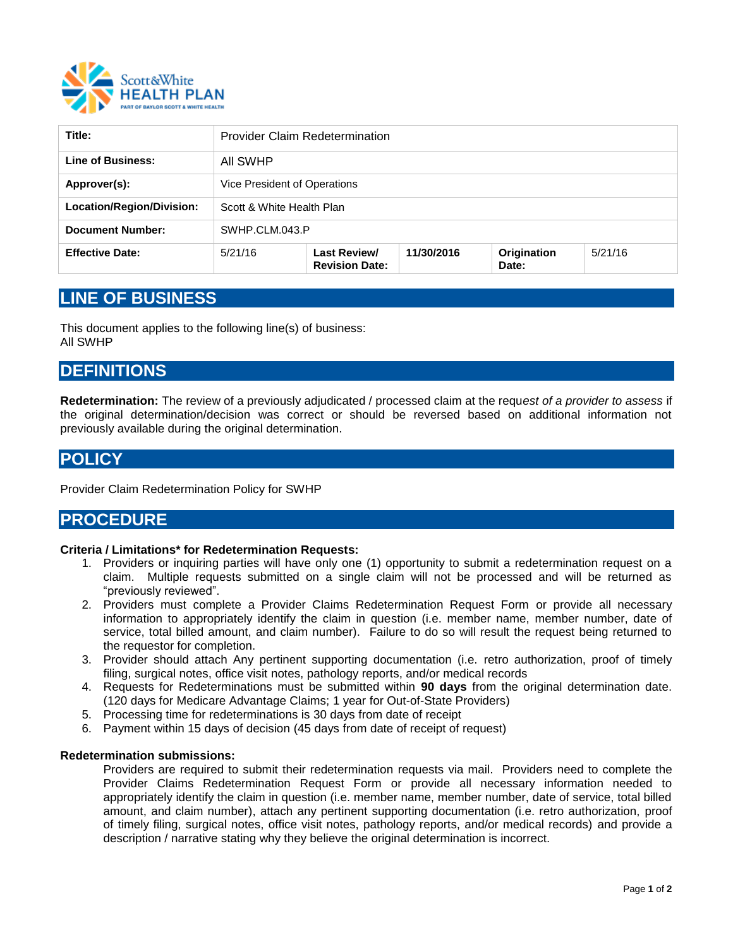

| Title:                    | <b>Provider Claim Redetermination</b> |                                              |            |                      |         |
|---------------------------|---------------------------------------|----------------------------------------------|------------|----------------------|---------|
| Line of Business:         | All SWHP                              |                                              |            |                      |         |
| Approver(s):              | Vice President of Operations          |                                              |            |                      |         |
| Location/Region/Division: | Scott & White Health Plan             |                                              |            |                      |         |
| <b>Document Number:</b>   | SWHP.CLM.043.P                        |                                              |            |                      |         |
| <b>Effective Date:</b>    | 5/21/16                               | <b>Last Review/</b><br><b>Revision Date:</b> | 11/30/2016 | Origination<br>Date: | 5/21/16 |

# **LINE OF BUSINESS**

This document applies to the following line(s) of business: All SWHP

### **DEFINITIONS**

**Redetermination:** The review of a previously adjudicated / processed claim at the requ*est of a provider to assess* if the original determination/decision was correct or should be reversed based on additional information not previously available during the original determination.

## **POLICY**

Provider Claim Redetermination Policy for SWHP

### **PROCEDURE**

#### **Criteria / Limitations\* for Redetermination Requests:**

- 1. Providers or inquiring parties will have only one (1) opportunity to submit a redetermination request on a claim. Multiple requests submitted on a single claim will not be processed and will be returned as "previously reviewed".
- 2. Providers must complete a Provider Claims Redetermination Request Form or provide all necessary information to appropriately identify the claim in question (i.e. member name, member number, date of service, total billed amount, and claim number). Failure to do so will result the request being returned to the requestor for completion.
- 3. Provider should attach Any pertinent supporting documentation (i.e. retro authorization, proof of timely filing, surgical notes, office visit notes, pathology reports, and/or medical records
- 4. Requests for Redeterminations must be submitted within **90 days** from the original determination date. (120 days for Medicare Advantage Claims; 1 year for Out-of-State Providers)
- 5. Processing time for redeterminations is 30 days from date of receipt
- 6. Payment within 15 days of decision (45 days from date of receipt of request)

#### **Redetermination submissions:**

Providers are required to submit their redetermination requests via mail. Providers need to complete the Provider Claims Redetermination Request Form or provide all necessary information needed to appropriately identify the claim in question (i.e. member name, member number, date of service, total billed amount, and claim number), attach any pertinent supporting documentation (i.e. retro authorization, proof of timely filing, surgical notes, office visit notes, pathology reports, and/or medical records) and provide a description / narrative stating why they believe the original determination is incorrect.